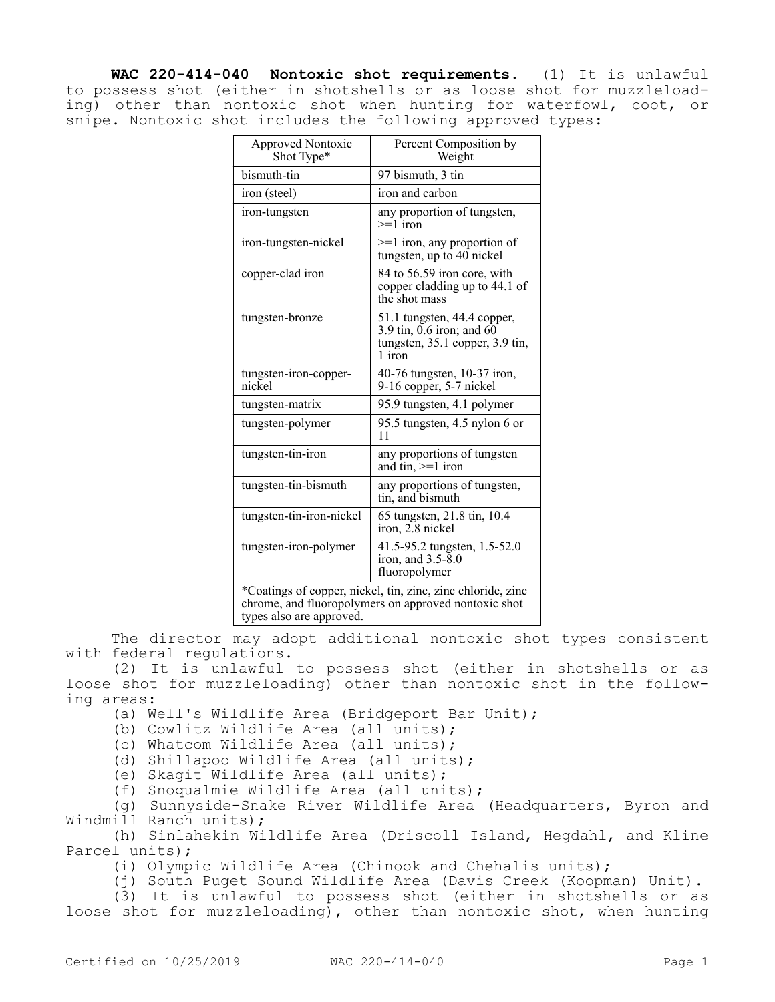**WAC 220-414-040 Nontoxic shot requirements.** (1) It is unlawful to possess shot (either in shotshells or as loose shot for muzzleloading) other than nontoxic shot when hunting for waterfowl, coot, or snipe. Nontoxic shot includes the following approved types:

| <b>Approved Nontoxic</b><br>Shot Type*                                                                                                          | Percent Composition by<br>Weight                                                                          |
|-------------------------------------------------------------------------------------------------------------------------------------------------|-----------------------------------------------------------------------------------------------------------|
| bismuth-tin                                                                                                                                     | 97 bismuth, 3 tin                                                                                         |
| iron (steel)                                                                                                                                    | iron and carbon                                                                                           |
| iron-tungsten                                                                                                                                   | any proportion of tungsten,<br>$\geq 1$ iron                                                              |
| iron-tungsten-nickel                                                                                                                            | $>=1$ iron, any proportion of<br>tungsten, up to 40 nickel                                                |
| copper-clad iron                                                                                                                                | 84 to 56.59 iron core, with<br>copper cladding up to 44.1 of<br>the shot mass                             |
| tungsten-bronze                                                                                                                                 | 51.1 tungsten, 44.4 copper,<br>3.9 tin, $0.6$ iron; and $60$<br>tungsten, 35.1 copper, 3.9 tin,<br>1 iron |
| tungsten-iron-copper-<br>nickel                                                                                                                 | 40-76 tungsten, 10-37 iron,<br>9-16 copper, 5-7 nickel                                                    |
| tungsten-matrix                                                                                                                                 | 95.9 tungsten, 4.1 polymer                                                                                |
| tungsten-polymer                                                                                                                                | 95.5 tungsten, 4.5 nylon 6 or<br>11                                                                       |
| tungsten-tin-iron                                                                                                                               | any proportions of tungsten<br>and tin, $>=1$ iron                                                        |
| tungsten-tin-bismuth                                                                                                                            | any proportions of tungsten,<br>tin, and bismuth                                                          |
| tungsten-tin-iron-nickel                                                                                                                        | 65 tungsten, 21.8 tin, 10.4<br>iron, 2.8 nickel                                                           |
| tungsten-iron-polymer                                                                                                                           | 41.5-95.2 tungsten, 1.5-52.0<br>iron, and $3.5 - 8.0$<br>fluoropolymer                                    |
| *Coatings of copper, nickel, tin, zinc, zinc chloride, zinc<br>chrome, and fluoropolymers on approved nontoxic shot<br>types also are approved. |                                                                                                           |

The director may adopt additional nontoxic shot types consistent with federal regulations.

(2) It is unlawful to possess shot (either in shotshells or as loose shot for muzzleloading) other than nontoxic shot in the following areas:

- (a) Well's Wildlife Area (Bridgeport Bar Unit);
- (b) Cowlitz Wildlife Area (all units);
- (c) Whatcom Wildlife Area (all units);
- (d) Shillapoo Wildlife Area (all units);
- (e) Skagit Wildlife Area (all units);

(f) Snoqualmie Wildlife Area (all units);

(g) Sunnyside-Snake River Wildlife Area (Headquarters, Byron and Windmill Ranch units);

(h) Sinlahekin Wildlife Area (Driscoll Island, Hegdahl, and Kline Parcel units);

- (i) Olympic Wildlife Area (Chinook and Chehalis units);
- (j) South Puget Sound Wildlife Area (Davis Creek (Koopman) Unit).

(3) It is unlawful to possess shot (either in shotshells or as loose shot for muzzleloading), other than nontoxic shot, when hunting